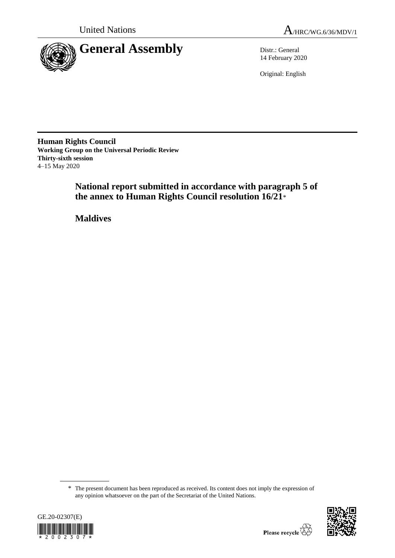

14 February 2020

Original: English

**Human Rights Council Working Group on the Universal Periodic Review Thirty-sixth session** 4–15 May 2020

> **National report submitted in accordance with paragraph 5 of the annex to Human Rights Council resolution 16/21**\*

**Maldives**

<sup>\*</sup> The present document has been reproduced as received. Its content does not imply the expression of any opinion whatsoever on the part of the Secretariat of the United Nations.



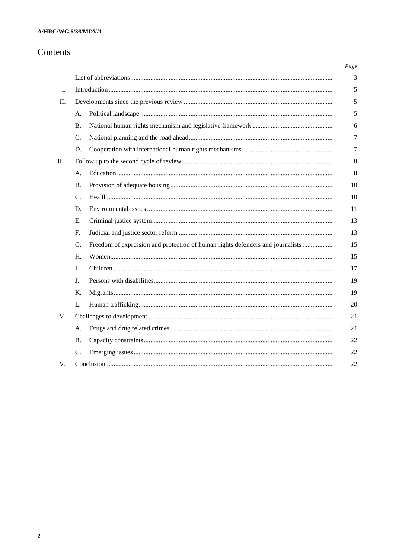# Contents

|     |           |                                                                                | Page |  |
|-----|-----------|--------------------------------------------------------------------------------|------|--|
|     |           |                                                                                | 3    |  |
| I.  |           |                                                                                |      |  |
| П.  |           |                                                                                |      |  |
|     | А.        |                                                                                | 5    |  |
|     | <b>B.</b> |                                                                                | 6    |  |
|     | C.        |                                                                                | 7    |  |
|     | D.        |                                                                                | 7    |  |
| Ш.  |           |                                                                                |      |  |
|     | А.        |                                                                                | 8    |  |
|     | <b>B.</b> |                                                                                | 10   |  |
|     | C.        |                                                                                | 10   |  |
|     | D.        |                                                                                | 11   |  |
|     | Е.        |                                                                                | 13   |  |
|     | F.        |                                                                                | 13   |  |
|     | G.        | Freedom of expression and protection of human rights defenders and journalists | 15   |  |
|     | H.        |                                                                                | 15   |  |
|     | I.        |                                                                                | 17   |  |
|     | J.        |                                                                                | 19   |  |
|     | Κ.        |                                                                                | 19   |  |
|     | L.        |                                                                                | 20   |  |
| IV. |           |                                                                                |      |  |
|     | А.        |                                                                                | 21   |  |
|     | Β.        |                                                                                | 22   |  |
|     | C.        |                                                                                | 22   |  |
| V.  |           |                                                                                |      |  |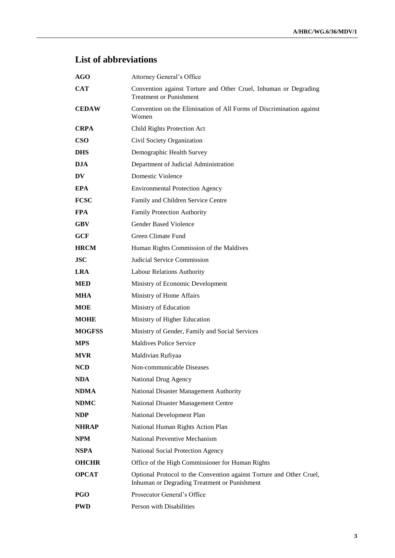# **List of abbreviations**

| AGO           | Attorney General's Office                                                                                            |
|---------------|----------------------------------------------------------------------------------------------------------------------|
| <b>CAT</b>    | Convention against Torture and Other Cruel, Inhuman or Degrading<br><b>Treatment or Punishment</b>                   |
| <b>CEDAW</b>  | Convention on the Elimination of All Forms of Discrimination against<br>Women                                        |
| <b>CRPA</b>   | Child Rights Protection Act                                                                                          |
| <b>CSO</b>    | Civil Society Organization                                                                                           |
| <b>DHS</b>    | Demographic Health Survey                                                                                            |
| <b>DJA</b>    | Department of Judicial Administration                                                                                |
| DV            | <b>Domestic Violence</b>                                                                                             |
| <b>EPA</b>    | <b>Environmental Protection Agency</b>                                                                               |
| <b>FCSC</b>   | Family and Children Service Centre                                                                                   |
| <b>FPA</b>    | <b>Family Protection Authority</b>                                                                                   |
| <b>GBV</b>    | <b>Gender Based Violence</b>                                                                                         |
| <b>GCF</b>    | Green Climate Fund                                                                                                   |
| <b>HRCM</b>   | Human Rights Commission of the Maldives                                                                              |
| <b>JSC</b>    | Judicial Service Commission                                                                                          |
| <b>LRA</b>    | Labour Relations Authority                                                                                           |
| <b>MED</b>    | Ministry of Economic Development                                                                                     |
| <b>MHA</b>    | Ministry of Home Affairs                                                                                             |
| <b>MOE</b>    | Ministry of Education                                                                                                |
| <b>MOHE</b>   | Ministry of Higher Education                                                                                         |
| <b>MOGFSS</b> | Ministry of Gender, Family and Social Services                                                                       |
| <b>MPS</b>    | <b>Maldives Police Service</b>                                                                                       |
| <b>MVR</b>    | Maldivian Rufiyaa                                                                                                    |
| NCD           | Non-communicable Diseases                                                                                            |
| NDA           | National Drug Agency                                                                                                 |
| <b>NDMA</b>   | National Disaster Management Authority                                                                               |
| <b>NDMC</b>   | National Disaster Management Centre                                                                                  |
| NDP           | National Development Plan                                                                                            |
| <b>NHRAP</b>  | National Human Rights Action Plan                                                                                    |
| <b>NPM</b>    | <b>National Preventive Mechanism</b>                                                                                 |
| <b>NSPA</b>   | National Social Protection Agency                                                                                    |
| <b>OHCHR</b>  | Office of the High Commissioner for Human Rights                                                                     |
| <b>OPCAT</b>  | Optional Protocol to the Convention against Torture and Other Cruel,<br>Inhuman or Degrading Treatment or Punishment |
| <b>PGO</b>    | Prosecutor General's Office                                                                                          |
| <b>PWD</b>    | Person with Disabilities                                                                                             |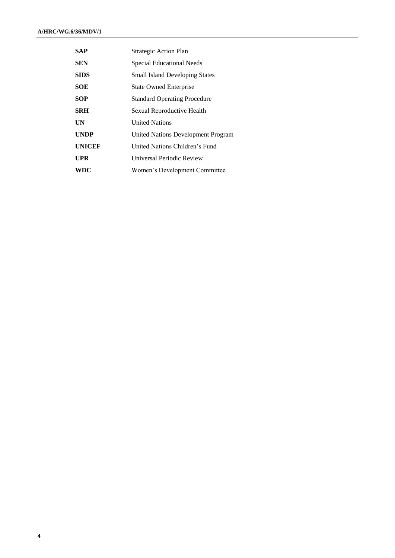| SAP           | Strategic Action Plan                 |
|---------------|---------------------------------------|
| <b>SEN</b>    | <b>Special Educational Needs</b>      |
| <b>SIDS</b>   | <b>Small Island Developing States</b> |
| <b>SOE</b>    | <b>State Owned Enterprise</b>         |
| SOP           | <b>Standard Operating Procedure</b>   |
| <b>SRH</b>    | Sexual Reproductive Health            |
| UN            | <b>United Nations</b>                 |
| <b>UNDP</b>   | United Nations Development Program    |
| <b>UNICEF</b> | United Nations Children's Fund        |
| UPR           | Universal Periodic Review             |
| WDC           | Women's Development Committee         |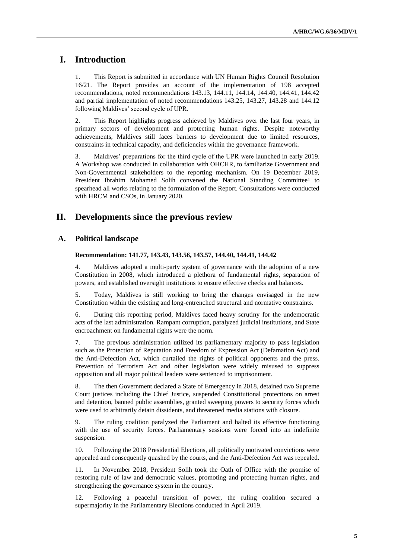# **I. Introduction**

1. This Report is submitted in accordance with UN Human Rights Council Resolution 16/21. The Report provides an account of the implementation of 198 accepted recommendations, noted recommendations 143.13, 144.11, 144.14, 144.40, 144.41, 144.42 and partial implementation of noted recommendations 143.25, 143.27, 143.28 and 144.12 following Maldives' second cycle of UPR.

2. This Report highlights progress achieved by Maldives over the last four years, in primary sectors of development and protecting human rights. Despite noteworthy achievements, Maldives still faces barriers to development due to limited resources, constraints in technical capacity, and deficiencies within the governance framework.

3. Maldives' preparations for the third cycle of the UPR were launched in early 2019. A Workshop was conducted in collaboration with OHCHR, to familiarize Government and Non-Governmental stakeholders to the reporting mechanism. On 19 December 2019, President Ibrahim Mohamed Solih convened the National Standing Committee<sup>1</sup> to spearhead all works relating to the formulation of the Report. Consultations were conducted with HRCM and CSOs, in January 2020.

# **II. Developments since the previous review**

# **A. Political landscape**

#### **Recommendation: 141.77, 143.43, 143.56, 143.57, 144.40, 144.41, 144.42**

4. Maldives adopted a multi-party system of governance with the adoption of a new Constitution in 2008, which introduced a plethora of fundamental rights, separation of powers, and established oversight institutions to ensure effective checks and balances.

5. Today, Maldives is still working to bring the changes envisaged in the new Constitution within the existing and long-entrenched structural and normative constraints.

6. During this reporting period, Maldives faced heavy scrutiny for the undemocratic acts of the last administration. Rampant corruption, paralyzed judicial institutions, and State encroachment on fundamental rights were the norm.

7. The previous administration utilized its parliamentary majority to pass legislation such as the Protection of Reputation and Freedom of Expression Act (Defamation Act) and the Anti-Defection Act, which curtailed the rights of political opponents and the press. Prevention of Terrorism Act and other legislation were widely misused to suppress opposition and all major political leaders were sentenced to imprisonment.

8. The then Government declared a State of Emergency in 2018, detained two Supreme Court justices including the Chief Justice, suspended Constitutional protections on arrest and detention, banned public assemblies, granted sweeping powers to security forces which were used to arbitrarily detain dissidents, and threatened media stations with closure.

9. The ruling coalition paralyzed the Parliament and halted its effective functioning with the use of security forces. Parliamentary sessions were forced into an indefinite suspension.

10. Following the 2018 Presidential Elections, all politically motivated convictions were appealed and consequently quashed by the courts, and the Anti-Defection Act was repealed.

11. In November 2018, President Solih took the Oath of Office with the promise of restoring rule of law and democratic values, promoting and protecting human rights, and strengthening the governance system in the country.

12. Following a peaceful transition of power, the ruling coalition secured a supermajority in the Parliamentary Elections conducted in April 2019.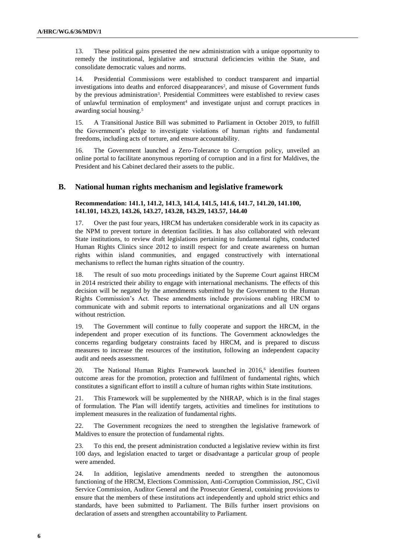13. These political gains presented the new administration with a unique opportunity to remedy the institutional, legislative and structural deficiencies within the State, and consolidate democratic values and norms.

14. Presidential Commissions were established to conduct transparent and impartial investigations into deaths and enforced disappearances<sup>2</sup>, and misuse of Government funds by the previous administration<sup>3</sup>. Presidential Committees were established to review cases of unlawful termination of employment<sup>4</sup> and investigate unjust and corrupt practices in awarding social housing.<sup>5</sup>

15. A Transitional Justice Bill was submitted to Parliament in October 2019, to fulfill the Government's pledge to investigate violations of human rights and fundamental freedoms, including acts of torture, and ensure accountability.

16. The Government launched a Zero-Tolerance to Corruption policy, unveiled an online portal to facilitate anonymous reporting of corruption and in a first for Maldives, the President and his Cabinet declared their assets to the public.

#### **B. National human rights mechanism and legislative framework**

#### **Recommendation: 141.1, 141.2, 141.3, 141.4, 141.5, 141.6, 141.7, 141.20, 141.100, 141.101, 143.23, 143.26, 143.27, 143.28, 143.29, 143.57, 144.40**

17. Over the past four years, HRCM has undertaken considerable work in its capacity as the NPM to prevent torture in detention facilities. It has also collaborated with relevant State institutions, to review draft legislations pertaining to fundamental rights, conducted Human Rights Clinics since 2012 to instill respect for and create awareness on human rights within island communities, and engaged constructively with international mechanisms to reflect the human rights situation of the country.

18. The result of suo motu proceedings initiated by the Supreme Court against HRCM in 2014 restricted their ability to engage with international mechanisms. The effects of this decision will be negated by the amendments submitted by the Government to the Human Rights Commission's Act. These amendments include provisions enabling HRCM to communicate with and submit reports to international organizations and all UN organs without restriction.

19. The Government will continue to fully cooperate and support the HRCM, in the independent and proper execution of its functions. The Government acknowledges the concerns regarding budgetary constraints faced by HRCM, and is prepared to discuss measures to increase the resources of the institution, following an independent capacity audit and needs assessment.

20. The National Human Rights Framework launched in  $2016<sup>6</sup>$  identifies fourteen outcome areas for the promotion, protection and fulfilment of fundamental rights, which constitutes a significant effort to instill a culture of human rights within State institutions.

21. This Framework will be supplemented by the NHRAP, which is in the final stages of formulation. The Plan will identify targets, activities and timelines for institutions to implement measures in the realization of fundamental rights.

22. The Government recognizes the need to strengthen the legislative framework of Maldives to ensure the protection of fundamental rights.

23. To this end, the present administration conducted a legislative review within its first 100 days, and legislation enacted to target or disadvantage a particular group of people were amended.

24. In addition, legislative amendments needed to strengthen the autonomous functioning of the HRCM, Elections Commission, Anti-Corruption Commission, JSC, Civil Service Commission, Auditor General and the Prosecutor General, containing provisions to ensure that the members of these institutions act independently and uphold strict ethics and standards, have been submitted to Parliament. The Bills further insert provisions on declaration of assets and strengthen accountability to Parliament.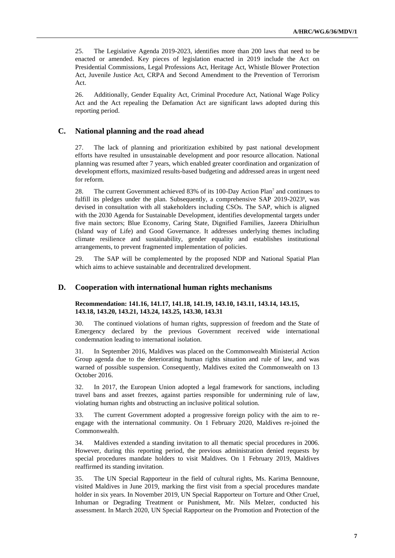25. The Legislative Agenda 2019-2023, identifies more than 200 laws that need to be enacted or amended. Key pieces of legislation enacted in 2019 include the Act on Presidential Commissions, Legal Professions Act, Heritage Act, Whistle Blower Protection Act, Juvenile Justice Act, CRPA and Second Amendment to the Prevention of Terrorism Act.

26. Additionally, Gender Equality Act, Criminal Procedure Act, National Wage Policy Act and the Act repealing the Defamation Act are significant laws adopted during this reporting period.

### **C. National planning and the road ahead**

27. The lack of planning and prioritization exhibited by past national development efforts have resulted in unsustainable development and poor resource allocation. National planning was resumed after 7 years, which enabled greater coordination and organization of development efforts, maximized results-based budgeting and addressed areas in urgent need for reform.

28. The current Government achieved 83% of its 100-Day Action Plan<sup>7</sup> and continues to fulfill its pledges under the plan. Subsequently, a comprehensive SAP 2019-2023<sup>8</sup>, was devised in consultation with all stakeholders including CSOs. The SAP, which is aligned with the 2030 Agenda for Sustainable Development, identifies developmental targets under five main sectors; Blue Economy, Caring State, Dignified Families, Jazeera Dhiriulhun (Island way of Life) and Good Governance. It addresses underlying themes including climate resilience and sustainability, gender equality and establishes institutional arrangements, to prevent fragmented implementation of policies.

29. The SAP will be complemented by the proposed NDP and National Spatial Plan which aims to achieve sustainable and decentralized development.

### **D. Cooperation with international human rights mechanisms**

#### **Recommendation: 141.16, 141.17, 141.18, 141.19, 143.10, 143.11, 143.14, 143.15, 143.18, 143.20, 143.21, 143.24, 143.25, 143.30, 143.31**

30. The continued violations of human rights, suppression of freedom and the State of Emergency declared by the previous Government received wide international condemnation leading to international isolation.

31. In September 2016, Maldives was placed on the Commonwealth Ministerial Action Group agenda due to the deteriorating human rights situation and rule of law, and was warned of possible suspension. Consequently, Maldives exited the Commonwealth on 13 October 2016.

32. In 2017, the European Union adopted a legal framework for sanctions, including travel bans and asset freezes, against parties responsible for undermining rule of law, violating human rights and obstructing an inclusive political solution.

33. The current Government adopted a progressive foreign policy with the aim to reengage with the international community. On 1 February 2020, Maldives re-joined the Commonwealth.

34. Maldives extended a standing invitation to all thematic special procedures in 2006. However, during this reporting period, the previous administration denied requests by special procedures mandate holders to visit Maldives. On 1 February 2019, Maldives reaffirmed its standing invitation.

35. The UN Special Rapporteur in the field of cultural rights, Ms. Karima Bennoune, visited Maldives in June 2019, marking the first visit from a special procedures mandate holder in six years. In November 2019, UN Special Rapporteur on Torture and Other Cruel, Inhuman or Degrading Treatment or Punishment, Mr. Nils Melzer, conducted his assessment. In March 2020, UN Special Rapporteur on the Promotion and Protection of the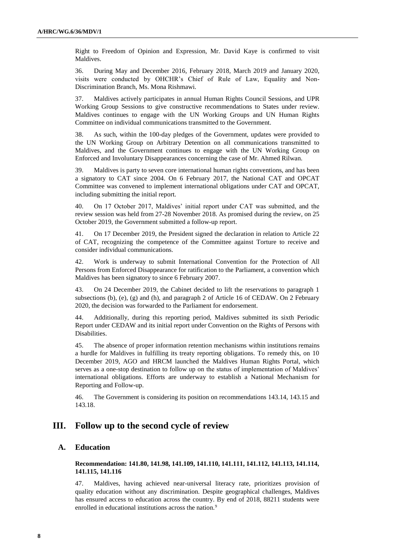Right to Freedom of Opinion and Expression, Mr. David Kaye is confirmed to visit Maldives.

36. During May and December 2016, February 2018, March 2019 and January 2020, visits were conducted by OHCHR's Chief of Rule of Law, Equality and Non-Discrimination Branch, Ms. Mona Rishmawi.

37. Maldives actively participates in annual Human Rights Council Sessions, and UPR Working Group Sessions to give constructive recommendations to States under review. Maldives continues to engage with the UN Working Groups and UN Human Rights Committee on individual communications transmitted to the Government.

38. As such, within the 100-day pledges of the Government, updates were provided to the UN Working Group on Arbitrary Detention on all communications transmitted to Maldives, and the Government continues to engage with the UN Working Group on Enforced and Involuntary Disappearances concerning the case of Mr. Ahmed Rilwan.

39. Maldives is party to seven core international human rights conventions, and has been a signatory to CAT since 2004. On 6 February 2017, the National CAT and OPCAT Committee was convened to implement international obligations under CAT and OPCAT, including submitting the initial report.

40. On 17 October 2017, Maldives' initial report under CAT was submitted, and the review session was held from 27-28 November 2018. As promised during the review, on 25 October 2019, the Government submitted a follow-up report.

41. On 17 December 2019, the President signed the declaration in relation to Article 22 of CAT, recognizing the competence of the Committee against Torture to receive and consider individual communications.

42. Work is underway to submit International Convention for the Protection of All Persons from Enforced Disappearance for ratification to the Parliament, a convention which Maldives has been signatory to since 6 February 2007.

43. On 24 December 2019, the Cabinet decided to lift the reservations to paragraph 1 subsections (b), (e), (g) and (h), and paragraph 2 of Article 16 of CEDAW. On 2 February 2020, the decision was forwarded to the Parliament for endorsement.

44. Additionally, during this reporting period, Maldives submitted its sixth Periodic Report under CEDAW and its initial report under Convention on the Rights of Persons with Disabilities.

45. The absence of proper information retention mechanisms within institutions remains a hurdle for Maldives in fulfilling its treaty reporting obligations. To remedy this, on 10 December 2019, AGO and HRCM launched the Maldives Human Rights Portal, which serves as a one-stop destination to follow up on the status of implementation of Maldives' international obligations. Efforts are underway to establish a National Mechanism for Reporting and Follow-up.

46. The Government is considering its position on recommendations 143.14, 143.15 and 143.18.

# **III. Follow up to the second cycle of review**

# **A. Education**

#### **Recommendation: 141.80, 141.98, 141.109, 141.110, 141.111, 141.112, 141.113, 141.114, 141.115, 141.116**

47. Maldives, having achieved near-universal literacy rate, prioritizes provision of quality education without any discrimination. Despite geographical challenges, Maldives has ensured access to education across the country. By end of 2018, 88211 students were enrolled in educational institutions across the nation.<sup>9</sup>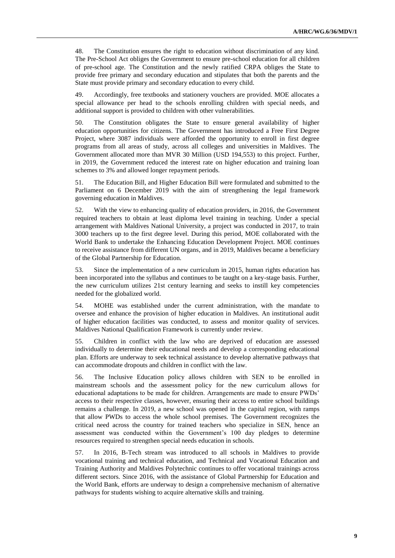48. The Constitution ensures the right to education without discrimination of any kind. The Pre-School Act obliges the Government to ensure pre-school education for all children of pre-school age. The Constitution and the newly ratified CRPA obliges the State to provide free primary and secondary education and stipulates that both the parents and the State must provide primary and secondary education to every child.

49. Accordingly, free textbooks and stationery vouchers are provided. MOE allocates a special allowance per head to the schools enrolling children with special needs, and additional support is provided to children with other vulnerabilities.

50. The Constitution obligates the State to ensure general availability of higher education opportunities for citizens. The Government has introduced a Free First Degree Project, where 3087 individuals were afforded the opportunity to enroll in first degree programs from all areas of study, across all colleges and universities in Maldives. The Government allocated more than MVR 30 Million (USD 194,553) to this project. Further, in 2019, the Government reduced the interest rate on higher education and training loan schemes to 3% and allowed longer repayment periods.

51. The Education Bill, and Higher Education Bill were formulated and submitted to the Parliament on 6 December 2019 with the aim of strengthening the legal framework governing education in Maldives.

52. With the view to enhancing quality of education providers, in 2016, the Government required teachers to obtain at least diploma level training in teaching. Under a special arrangement with Maldives National University, a project was conducted in 2017, to train 3000 teachers up to the first degree level. During this period, MOE collaborated with the World Bank to undertake the Enhancing Education Development Project. MOE continues to receive assistance from different UN organs, and in 2019, Maldives became a beneficiary of the Global Partnership for Education.

53. Since the implementation of a new curriculum in 2015, human rights education has been incorporated into the syllabus and continues to be taught on a key-stage basis. Further, the new curriculum utilizes 21st century learning and seeks to instill key competencies needed for the globalized world.

54. MOHE was established under the current administration, with the mandate to oversee and enhance the provision of higher education in Maldives. An institutional audit of higher education facilities was conducted, to assess and monitor quality of services. Maldives National Qualification Framework is currently under review.

55. Children in conflict with the law who are deprived of education are assessed individually to determine their educational needs and develop a corresponding educational plan. Efforts are underway to seek technical assistance to develop alternative pathways that can accommodate dropouts and children in conflict with the law.

56. The Inclusive Education policy allows children with SEN to be enrolled in mainstream schools and the assessment policy for the new curriculum allows for educational adaptations to be made for children. Arrangements are made to ensure PWDs' access to their respective classes, however, ensuring their access to entire school buildings remains a challenge. In 2019, a new school was opened in the capital region, with ramps that allow PWDs to access the whole school premises. The Government recognizes the critical need across the country for trained teachers who specialize in SEN, hence an assessment was conducted within the Government's 100 day pledges to determine resources required to strengthen special needs education in schools.

57. In 2016, B-Tech stream was introduced to all schools in Maldives to provide vocational training and technical education, and Technical and Vocational Education and Training Authority and Maldives Polytechnic continues to offer vocational trainings across different sectors. Since 2016, with the assistance of Global Partnership for Education and the World Bank, efforts are underway to design a comprehensive mechanism of alternative pathways for students wishing to acquire alternative skills and training.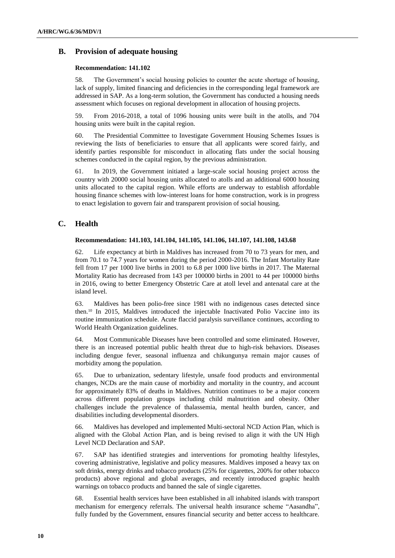# **B. Provision of adequate housing**

#### **Recommendation: 141.102**

58. The Government's social housing policies to counter the acute shortage of housing, lack of supply, limited financing and deficiencies in the corresponding legal framework are addressed in SAP. As a long-term solution, the Government has conducted a housing needs assessment which focuses on regional development in allocation of housing projects.

59. From 2016-2018, a total of 1096 housing units were built in the atolls, and 704 housing units were built in the capital region.

60. The Presidential Committee to Investigate Government Housing Schemes Issues is reviewing the lists of beneficiaries to ensure that all applicants were scored fairly, and identify parties responsible for misconduct in allocating flats under the social housing schemes conducted in the capital region, by the previous administration.

61. In 2019, the Government initiated a large-scale social housing project across the country with 20000 social housing units allocated to atolls and an additional 6000 housing units allocated to the capital region. While efforts are underway to establish affordable housing finance schemes with low-interest loans for home construction, work is in progress to enact legislation to govern fair and transparent provision of social housing.

# **C. Health**

#### **Recommendation: 141.103, 141.104, 141.105, 141.106, 141.107, 141.108, 143.68**

62. Life expectancy at birth in Maldives has increased from 70 to 73 years for men, and from 70.1 to 74.7 years for women during the period 2000-2016. The Infant Mortality Rate fell from 17 per 1000 live births in 2001 to 6.8 per 1000 live births in 2017. The Maternal Mortality Ratio has decreased from 143 per 100000 births in 2001 to 44 per 100000 births in 2016, owing to better Emergency Obstetric Care at atoll level and antenatal care at the island level.

63. Maldives has been polio-free since 1981 with no indigenous cases detected since then.<sup>10</sup> In 2015, Maldives introduced the injectable Inactivated Polio Vaccine into its routine immunization schedule. Acute flaccid paralysis surveillance continues, according to World Health Organization guidelines.

64. Most Communicable Diseases have been controlled and some eliminated. However, there is an increased potential public health threat due to high-risk behaviors. Diseases including dengue fever, seasonal influenza and chikungunya remain major causes of morbidity among the population.

65. Due to urbanization, sedentary lifestyle, unsafe food products and environmental changes, NCDs are the main cause of morbidity and mortality in the country, and account for approximately 83% of deaths in Maldives. Nutrition continues to be a major concern across different population groups including child malnutrition and obesity. Other challenges include the prevalence of thalassemia, mental health burden, cancer, and disabilities including developmental disorders.

66. Maldives has developed and implemented Multi-sectoral NCD Action Plan, which is aligned with the Global Action Plan, and is being revised to align it with the UN High Level NCD Declaration and SAP.

67. SAP has identified strategies and interventions for promoting healthy lifestyles, covering administrative, legislative and policy measures. Maldives imposed a heavy tax on soft drinks, energy drinks and tobacco products (25% for cigarettes, 200% for other tobacco products) above regional and global averages, and recently introduced graphic health warnings on tobacco products and banned the sale of single cigarettes.

68. Essential health services have been established in all inhabited islands with transport mechanism for emergency referrals. The universal health insurance scheme "Aasandha", fully funded by the Government, ensures financial security and better access to healthcare.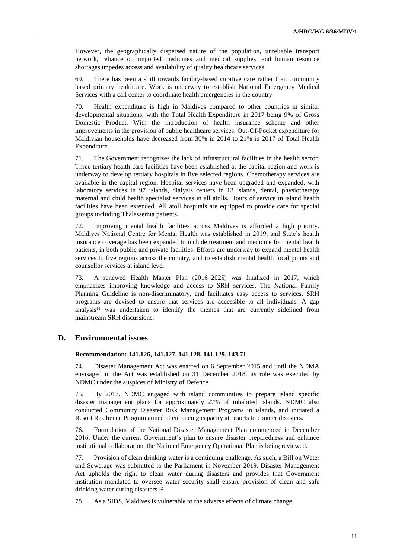However, the geographically dispersed nature of the population, unreliable transport network, reliance on imported medicines and medical supplies, and human resource shortages impedes access and availability of quality healthcare services.

69. There has been a shift towards facility-based curative care rather than community based primary healthcare. Work is underway to establish National Emergency Medical Services with a call center to coordinate health emergencies in the country.

70. Health expenditure is high in Maldives compared to other countries in similar developmental situations, with the Total Health Expenditure in 2017 being 9% of Gross Domestic Product. With the introduction of health insurance scheme and other improvements in the provision of public healthcare services, Out-Of-Pocket expenditure for Maldivian households have decreased from 30% in 2014 to 21% in 2017 of Total Health Expenditure.

71. The Government recognizes the lack of infrastructural facilities in the health sector. Three tertiary health care facilities have been established at the capital region and work is underway to develop tertiary hospitals in five selected regions. Chemotherapy services are available in the capital region. Hospital services have been upgraded and expanded, with laboratory services in 97 islands, dialysis centers in 13 islands, dental, physiotherapy maternal and child health specialist services in all atolls. Hours of service in island health facilities have been extended. All atoll hospitals are equipped to provide care for special groups including Thalassemia patients.

72. Improving mental health facilities across Maldives is afforded a high priority. Maldives National Centre for Mental Health was established in 2019, and State's health insurance coverage has been expanded to include treatment and medicine for mental health patients, in both public and private facilities. Efforts are underway to expand mental health services to five regions across the country, and to establish mental health focal points and counsellor services at island level.

73. A renewed Health Master Plan (2016–2025) was finalized in 2017, which emphasizes improving knowledge and access to SRH services. The National Family Planning Guideline is non-discriminatory, and facilitates easy access to services. SRH programs are devised to ensure that services are accessible to all individuals. A gap analysis<sup>11</sup> was undertaken to identify the themes that are currently sidelined from mainstream SRH discussions.

### **D. Environmental issues**

### **Recommendation: 141.126, 141.127, 141.128, 141.129, 143.71**

74. Disaster Management Act was enacted on 6 September 2015 and until the NDMA envisaged in the Act was established on 31 December 2018, its role was executed by NDMC under the auspices of Ministry of Defence.

75. By 2017, NDMC engaged with island communities to prepare island specific disaster management plans for approximately 27% of inhabited islands. NDMC also conducted Community Disaster Risk Management Programs in islands, and initiated a Resort Resilience Program aimed at enhancing capacity at resorts to counter disasters.

76. Formulation of the National Disaster Management Plan commenced in December 2016. Under the current Government's plan to ensure disaster preparedness and enhance institutional collaboration, the National Emergency Operational Plan is being reviewed.

77. Provision of clean drinking water is a continuing challenge. As such, a Bill on Water and Sewerage was submitted to the Parliament in November 2019. Disaster Management Act upholds the right to clean water during disasters and provides that Government institution mandated to oversee water security shall ensure provision of clean and safe drinking water during disasters.<sup>12</sup>

78. As a SIDS, Maldives is vulnerable to the adverse effects of climate change.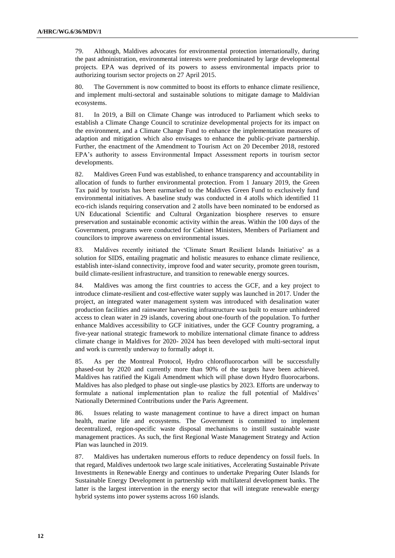79. Although, Maldives advocates for environmental protection internationally, during the past administration, environmental interests were predominated by large developmental projects. EPA was deprived of its powers to assess environmental impacts prior to authorizing tourism sector projects on 27 April 2015.

80. The Government is now committed to boost its efforts to enhance climate resilience, and implement multi-sectoral and sustainable solutions to mitigate damage to Maldivian ecosystems.

81. In 2019, a Bill on Climate Change was introduced to Parliament which seeks to establish a Climate Change Council to scrutinize developmental projects for its impact on the environment, and a Climate Change Fund to enhance the implementation measures of adaption and mitigation which also envisages to enhance the public-private partnership. Further, the enactment of the Amendment to Tourism Act on 20 December 2018, restored EPA's authority to assess Environmental Impact Assessment reports in tourism sector developments.

82. Maldives Green Fund was established, to enhance transparency and accountability in allocation of funds to further environmental protection. From 1 January 2019, the Green Tax paid by tourists has been earmarked to the Maldives Green Fund to exclusively fund environmental initiatives. A baseline study was conducted in 4 atolls which identified 11 eco-rich islands requiring conservation and 2 atolls have been nominated to be endorsed as UN Educational Scientific and Cultural Organization biosphere reserves to ensure preservation and sustainable economic activity within the areas. Within the 100 days of the Government, programs were conducted for Cabinet Ministers, Members of Parliament and councilors to improve awareness on environmental issues.

83. Maldives recently initiated the 'Climate Smart Resilient Islands Initiative' as a solution for SIDS, entailing pragmatic and holistic measures to enhance climate resilience, establish inter-island connectivity, improve food and water security, promote green tourism, build climate-resilient infrastructure, and transition to renewable energy sources.

84. Maldives was among the first countries to access the GCF, and a key project to introduce climate-resilient and cost-effective water supply was launched in 2017. Under the project, an integrated water management system was introduced with desalination water production facilities and rainwater harvesting infrastructure was built to ensure unhindered access to clean water in 29 islands, covering about one-fourth of the population. To further enhance Maldives accessibility to GCF initiatives, under the GCF Country programing, a five-year national strategic framework to mobilize international climate finance to address climate change in Maldives for 2020- 2024 has been developed with multi-sectoral input and work is currently underway to formally adopt it.

85. As per the Montreal Protocol, Hydro chlorofluorocarbon will be successfully phased-out by 2020 and currently more than 90% of the targets have been achieved. Maldives has ratified the Kigali Amendment which will phase down Hydro fluorocarbons. Maldives has also pledged to phase out single-use plastics by 2023. Efforts are underway to formulate a national implementation plan to realize the full potential of Maldives' Nationally Determined Contributions under the Paris Agreement.

86. Issues relating to waste management continue to have a direct impact on human health, marine life and ecosystems. The Government is committed to implement decentralized, region-specific waste disposal mechanisms to instill sustainable waste management practices. As such, the first Regional Waste Management Strategy and Action Plan was launched in 2019.

87. Maldives has undertaken numerous efforts to reduce dependency on fossil fuels. In that regard, Maldives undertook two large scale initiatives, Accelerating Sustainable Private Investments in Renewable Energy and continues to undertake Preparing Outer Islands for Sustainable Energy Development in partnership with multilateral development banks. The latter is the largest intervention in the energy sector that will integrate renewable energy hybrid systems into power systems across 160 islands.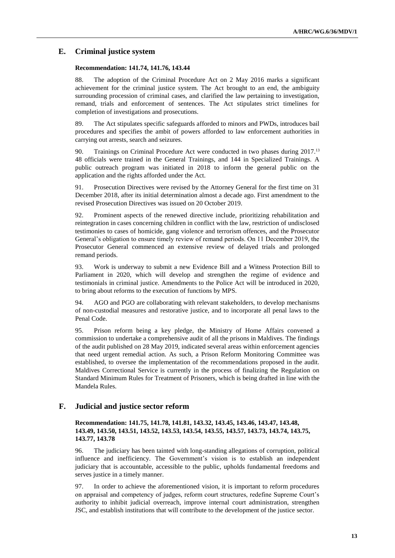### **E. Criminal justice system**

#### **Recommendation: 141.74, 141.76, 143.44**

88. The adoption of the Criminal Procedure Act on 2 May 2016 marks a significant achievement for the criminal justice system. The Act brought to an end, the ambiguity surrounding procession of criminal cases, and clarified the law pertaining to investigation, remand, trials and enforcement of sentences. The Act stipulates strict timelines for completion of investigations and prosecutions.

89. The Act stipulates specific safeguards afforded to minors and PWDs, introduces bail procedures and specifies the ambit of powers afforded to law enforcement authorities in carrying out arrests, search and seizures.

90. Trainings on Criminal Procedure Act were conducted in two phases during 2017.<sup>13</sup> 48 officials were trained in the General Trainings, and 144 in Specialized Trainings. A public outreach program was initiated in 2018 to inform the general public on the application and the rights afforded under the Act.

91. Prosecution Directives were revised by the Attorney General for the first time on 31 December 2018, after its initial determination almost a decade ago. First amendment to the revised Prosecution Directives was issued on 20 October 2019.

92. Prominent aspects of the renewed directive include, prioritizing rehabilitation and reintegration in cases concerning children in conflict with the law, restriction of undisclosed testimonies to cases of homicide, gang violence and terrorism offences, and the Prosecutor General's obligation to ensure timely review of remand periods. On 11 December 2019, the Prosecutor General commenced an extensive review of delayed trials and prolonged remand periods.

93. Work is underway to submit a new Evidence Bill and a Witness Protection Bill to Parliament in 2020, which will develop and strengthen the regime of evidence and testimonials in criminal justice. Amendments to the Police Act will be introduced in 2020, to bring about reforms to the execution of functions by MPS.

94. AGO and PGO are collaborating with relevant stakeholders, to develop mechanisms of non-custodial measures and restorative justice, and to incorporate all penal laws to the Penal Code.

95. Prison reform being a key pledge, the Ministry of Home Affairs convened a commission to undertake a comprehensive audit of all the prisons in Maldives. The findings of the audit published on 28 May 2019, indicated several areas within enforcement agencies that need urgent remedial action. As such, a Prison Reform Monitoring Committee was established, to oversee the implementation of the recommendations proposed in the audit. Maldives Correctional Service is currently in the process of finalizing the Regulation on Standard Minimum Rules for Treatment of Prisoners, which is being drafted in line with the Mandela Rules.

#### **F. Judicial and justice sector reform**

### **Recommendation: 141.75, 141.78, 141.81, 143.32, 143.45, 143.46, 143.47, 143.48, 143.49, 143.50, 143.51, 143.52, 143.53, 143.54, 143.55, 143.57, 143.73, 143.74, 143.75, 143.77, 143.78**

96. The judiciary has been tainted with long-standing allegations of corruption, political influence and inefficiency. The Government's vision is to establish an independent judiciary that is accountable, accessible to the public, upholds fundamental freedoms and serves justice in a timely manner.

97. In order to achieve the aforementioned vision, it is important to reform procedures on appraisal and competency of judges, reform court structures, redefine Supreme Court's authority to inhibit judicial overreach, improve internal court administration, strengthen JSC, and establish institutions that will contribute to the development of the justice sector.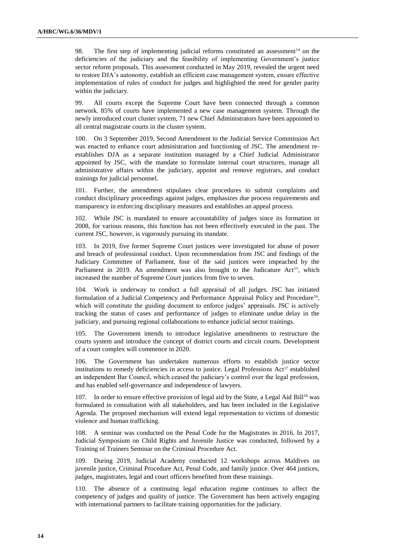98. The first step of implementing judicial reforms constituted an assessment<sup>14</sup> on the deficiencies of the judiciary and the feasibility of implementing Government's justice sector reform proposals. This assessment conducted in May 2019, revealed the urgent need to restore DJA's autonomy, establish an efficient case management system, ensure effective implementation of rules of conduct for judges and highlighted the need for gender parity within the judiciary.

99. All courts except the Supreme Court have been connected through a common network. 85% of courts have implemented a new case management system. Through the newly introduced court cluster system, 71 new Chief Administrators have been appointed to all central magistrate courts in the cluster system.

100. On 3 September 2019, Second Amendment to the Judicial Service Commission Act was enacted to enhance court administration and functioning of JSC. The amendment reestablishes DJA as a separate institution managed by a Chief Judicial Administrator appointed by JSC, with the mandate to formulate internal court structures, manage all administrative affairs within the judiciary, appoint and remove registrars, and conduct trainings for judicial personnel.

101. Further, the amendment stipulates clear procedures to submit complaints and conduct disciplinary proceedings against judges, emphasizes due process requirements and transparency in enforcing disciplinary measures and establishes an appeal process.

102. While JSC is mandated to ensure accountability of judges since its formation in 2008, for various reasons, this function has not been effectively executed in the past. The current JSC, however, is vigorously pursuing its mandate.

103. In 2019, five former Supreme Court justices were investigated for abuse of power and breach of professional conduct. Upon recommendation from JSC and findings of the Judiciary Committee of Parliament, four of the said justices were impeached by the Parliament in 2019. An amendment was also brought to the Judicature  $Act^{15}$ , which increased the number of Supreme Court justices from five to seven.

104. Work is underway to conduct a full appraisal of all judges. JSC has initiated formulation of a Judicial Competency and Performance Appraisal Policy and Procedure<sup>16</sup>, which will constitute the guiding document to enforce judges' appraisals. JSC is actively tracking the status of cases and performance of judges to eliminate undue delay in the judiciary, and pursuing regional collaborations to enhance judicial sector trainings.

105. The Government intends to introduce legislative amendments to restructure the courts system and introduce the concept of district courts and circuit courts. Development of a court complex will commence in 2020.

106. The Government has undertaken numerous efforts to establish justice sector institutions to remedy deficiencies in access to justice. Legal Professions  $Act^{17}$  established an independent Bar Council, which ceased the judiciary's control over the legal profession, and has enabled self-governance and independence of lawyers.

107. In order to ensure effective provision of legal aid by the State, a Legal Aid Bill<sup>18</sup> was formulated in consultation with all stakeholders, and has been included in the Legislative Agenda. The proposed mechanism will extend legal representation to victims of domestic violence and human trafficking.

108. A seminar was conducted on the Penal Code for the Magistrates in 2016. In 2017, Judicial Symposium on Child Rights and Juvenile Justice was conducted, followed by a Training of Trainers Seminar on the Criminal Procedure Act.

109. During 2019, Judicial Academy conducted 12 workshops across Maldives on juvenile justice, Criminal Procedure Act, Penal Code, and family justice. Over 464 justices, judges, magistrates, legal and court officers benefited from these trainings.

110. The absence of a continuing legal education regime continues to affect the competency of judges and quality of justice. The Government has been actively engaging with international partners to facilitate training opportunities for the judiciary.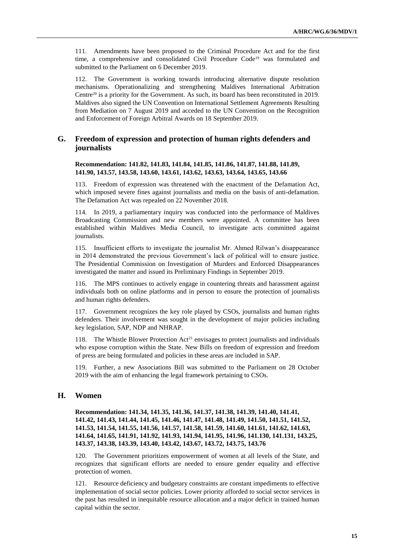111. Amendments have been proposed to the Criminal Procedure Act and for the first time, a comprehensive and consolidated Civil Procedure Code<sup>19</sup> was formulated and submitted to the Parliament on 6 December 2019.

112. The Government is working towards introducing alternative dispute resolution mechanisms. Operationalizing and strengthening Maldives International Arbitration Centre<sup>20</sup> is a priority for the Government. As such, its board has been reconstituted in 2019. Maldives also signed the UN Convention on International Settlement Agreements Resulting from Mediation on 7 August 2019 and acceded to the UN Convention on the Recognition and Enforcement of Foreign Arbitral Awards on 18 September 2019.

# **G. Freedom of expression and protection of human rights defenders and journalists**

**Recommendation: 141.82, 141.83, 141.84, 141.85, 141.86, 141.87, 141.88, 141.89, 141.90, 143.57, 143.58, 143.60, 143.61, 143.62, 143.63, 143.64, 143.65, 143.66**

113. Freedom of expression was threatened with the enactment of the Defamation Act, which imposed severe fines against journalists and media on the basis of anti-defamation. The Defamation Act was repealed on 22 November 2018.

114. In 2019, a parliamentary inquiry was conducted into the performance of Maldives Broadcasting Commission and new members were appointed. A committee has been established within Maldives Media Council, to investigate acts committed against journalists.

115. Insufficient efforts to investigate the journalist Mr. Ahmed Rilwan's disappearance in 2014 demonstrated the previous Government's lack of political will to ensure justice. The Presidential Commission on Investigation of Murders and Enforced Disappearances investigated the matter and issued its Preliminary Findings in September 2019.

116. The MPS continues to actively engage in countering threats and harassment against individuals both on online platforms and in person to ensure the protection of journalists and human rights defenders.

117. Government recognizes the key role played by CSOs, journalists and human rights defenders. Their involvement was sought in the development of major policies including key legislation, SAP, NDP and NHRAP.

118. The Whistle Blower Protection  $Act^{21}$  envisages to protect journalists and individuals who expose corruption within the State. New Bills on freedom of expression and freedom of press are being formulated and policies in these areas are included in SAP.

119. Further, a new Associations Bill was submitted to the Parliament on 28 October 2019 with the aim of enhancing the legal framework pertaining to CSOs.

# **H. Women**

**Recommendation: 141.34, 141.35, 141.36, 141.37, 141.38, 141.39, 141.40, 141.41, 141.42, 141.43, 141.44, 141.45, 141.46, 141.47, 141.48, 141.49, 141.50, 141.51, 141.52, 141.53, 141.54, 141.55, 141.56, 141.57, 141.58, 141.59, 141.60, 141.61, 141.62, 141.63, 141.64, 141.65, 141.91, 141.92, 141.93, 141.94, 141.95, 141.96, 141.130, 141.131, 143.25, 143.37, 143.38, 143.39, 143.40, 143.42, 143.67, 143.72, 143.75, 143.76**

120. The Government prioritizes empowerment of women at all levels of the State, and recognizes that significant efforts are needed to ensure gender equality and effective protection of women.

121. Resource deficiency and budgetary constraints are constant impediments to effective implementation of social sector policies. Lower priority afforded to social sector services in the past has resulted in inequitable resource allocation and a major deficit in trained human capital within the sector.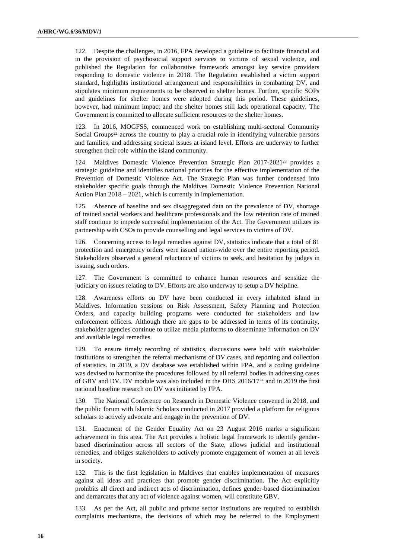122. Despite the challenges, in 2016, FPA developed a guideline to facilitate financial aid in the provision of psychosocial support services to victims of sexual violence, and published the Regulation for collaborative framework amongst key service providers responding to domestic violence in 2018. The Regulation established a victim support standard, highlights institutional arrangement and responsibilities in combatting DV, and stipulates minimum requirements to be observed in shelter homes. Further, specific SOPs and guidelines for shelter homes were adopted during this period. These guidelines, however, had minimum impact and the shelter homes still lack operational capacity. The Government is committed to allocate sufficient resources to the shelter homes.

In 2016, MOGFSS, commenced work on establishing multi-sectoral Community Social Groups<sup>22</sup> across the country to play a crucial role in identifying vulnerable persons and families, and addressing societal issues at island level. Efforts are underway to further strengthen their role within the island community.

124. Maldives Domestic Violence Prevention Strategic Plan 2017-2021<sup>23</sup> provides a strategic guideline and identifies national priorities for the effective implementation of the Prevention of Domestic Violence Act. The Strategic Plan was further condensed into stakeholder specific goals through the Maldives Domestic Violence Prevention National Action Plan 2018 – 2021, which is currently in implementation.

125. Absence of baseline and sex disaggregated data on the prevalence of DV, shortage of trained social workers and healthcare professionals and the low retention rate of trained staff continue to impede successful implementation of the Act. The Government utilizes its partnership with CSOs to provide counselling and legal services to victims of DV.

126. Concerning access to legal remedies against DV, statistics indicate that a total of 81 protection and emergency orders were issued nation-wide over the entire reporting period. Stakeholders observed a general reluctance of victims to seek, and hesitation by judges in issuing, such orders.

127. The Government is committed to enhance human resources and sensitize the judiciary on issues relating to DV. Efforts are also underway to setup a DV helpline.

Awareness efforts on DV have been conducted in every inhabited island in Maldives. Information sessions on Risk Assessment, Safety Planning and Protection Orders, and capacity building programs were conducted for stakeholders and law enforcement officers. Although there are gaps to be addressed in terms of its continuity, stakeholder agencies continue to utilize media platforms to disseminate information on DV and available legal remedies.

129. To ensure timely recording of statistics, discussions were held with stakeholder institutions to strengthen the referral mechanisms of DV cases, and reporting and collection of statistics. In 2019, a DV database was established within FPA, and a coding guideline was devised to harmonize the procedures followed by all referral bodies in addressing cases of GBV and DV. DV module was also included in the DHS 2016/17<sup>24</sup> and in 2019 the first national baseline research on DV was initiated by FPA.

The National Conference on Research in Domestic Violence convened in 2018, and the public forum with Islamic Scholars conducted in 2017 provided a platform for religious scholars to actively advocate and engage in the prevention of DV.

131. Enactment of the Gender Equality Act on 23 August 2016 marks a significant achievement in this area. The Act provides a holistic legal framework to identify genderbased discrimination across all sectors of the State, allows judicial and institutional remedies, and obliges stakeholders to actively promote engagement of women at all levels in society.

132. This is the first legislation in Maldives that enables implementation of measures against all ideas and practices that promote gender discrimination. The Act explicitly prohibits all direct and indirect acts of discrimination, defines gender-based discrimination and demarcates that any act of violence against women, will constitute GBV.

133. As per the Act, all public and private sector institutions are required to establish complaints mechanisms, the decisions of which may be referred to the Employment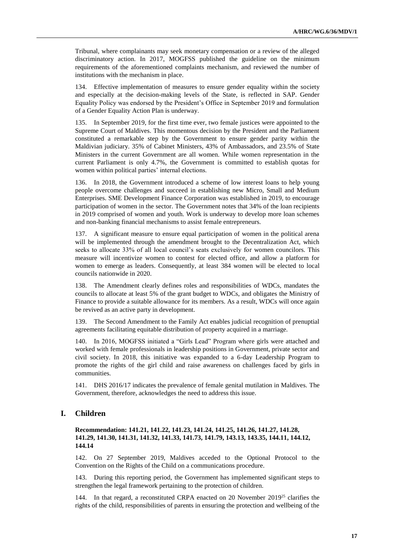Tribunal, where complainants may seek monetary compensation or a review of the alleged discriminatory action. In 2017, MOGFSS published the guideline on the minimum requirements of the aforementioned complaints mechanism, and reviewed the number of institutions with the mechanism in place.

134. Effective implementation of measures to ensure gender equality within the society and especially at the decision-making levels of the State, is reflected in SAP. Gender Equality Policy was endorsed by the President's Office in September 2019 and formulation of a Gender Equality Action Plan is underway.

135. In September 2019, for the first time ever, two female justices were appointed to the Supreme Court of Maldives. This momentous decision by the President and the Parliament constituted a remarkable step by the Government to ensure gender parity within the Maldivian judiciary. 35% of Cabinet Ministers, 43% of Ambassadors, and 23.5% of State Ministers in the current Government are all women. While women representation in the current Parliament is only 4.7%, the Government is committed to establish quotas for women within political parties' internal elections.

136. In 2018, the Government introduced a scheme of low interest loans to help young people overcome challenges and succeed in establishing new Micro, Small and Medium Enterprises. SME Development Finance Corporation was established in 2019, to encourage participation of women in the sector. The Government notes that 34% of the loan recipients in 2019 comprised of women and youth. Work is underway to develop more loan schemes and non-banking financial mechanisms to assist female entrepreneurs.

137. A significant measure to ensure equal participation of women in the political arena will be implemented through the amendment brought to the Decentralization Act, which seeks to allocate 33% of all local council's seats exclusively for women councilors. This measure will incentivize women to contest for elected office, and allow a platform for women to emerge as leaders. Consequently, at least 384 women will be elected to local councils nationwide in 2020.

138. The Amendment clearly defines roles and responsibilities of WDCs, mandates the councils to allocate at least 5% of the grant budget to WDCs, and obligates the Ministry of Finance to provide a suitable allowance for its members. As a result, WDCs will once again be revived as an active party in development.

139. The Second Amendment to the Family Act enables judicial recognition of prenuptial agreements facilitating equitable distribution of property acquired in a marriage.

140. In 2016, MOGFSS initiated a "Girls Lead" Program where girls were attached and worked with female professionals in leadership positions in Government, private sector and civil society. In 2018, this initiative was expanded to a 6-day Leadership Program to promote the rights of the girl child and raise awareness on challenges faced by girls in communities.

141. DHS 2016/17 indicates the prevalence of female genital mutilation in Maldives. The Government, therefore, acknowledges the need to address this issue.

# **I. Children**

#### **Recommendation: 141.21, 141.22, 141.23, 141.24, 141.25, 141.26, 141.27, 141.28, 141.29, 141.30, 141.31, 141.32, 141.33, 141.73, 141.79, 143.13, 143.35, 144.11, 144.12, 144.14**

142. On 27 September 2019, Maldives acceded to the Optional Protocol to the Convention on the Rights of the Child on a communications procedure.

143. During this reporting period, the Government has implemented significant steps to strengthen the legal framework pertaining to the protection of children.

144. In that regard, a reconstituted CRPA enacted on 20 November 2019<sup>25</sup> clarifies the rights of the child, responsibilities of parents in ensuring the protection and wellbeing of the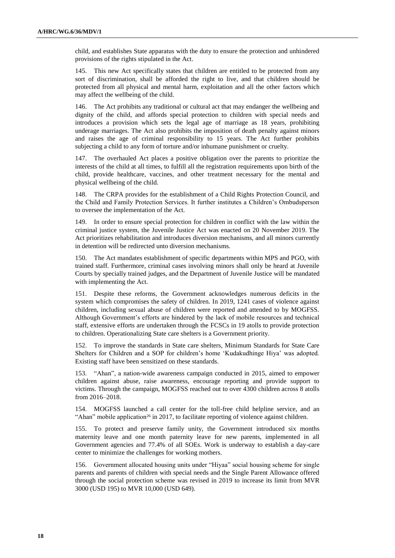child, and establishes State apparatus with the duty to ensure the protection and unhindered provisions of the rights stipulated in the Act.

145. This new Act specifically states that children are entitled to be protected from any sort of discrimination, shall be afforded the right to live, and that children should be protected from all physical and mental harm, exploitation and all the other factors which may affect the wellbeing of the child.

146. The Act prohibits any traditional or cultural act that may endanger the wellbeing and dignity of the child, and affords special protection to children with special needs and introduces a provision which sets the legal age of marriage as 18 years, prohibiting underage marriages. The Act also prohibits the imposition of death penalty against minors and raises the age of criminal responsibility to 15 years. The Act further prohibits subjecting a child to any form of torture and/or inhumane punishment or cruelty.

147. The overhauled Act places a positive obligation over the parents to prioritize the interests of the child at all times, to fulfill all the registration requirements upon birth of the child, provide healthcare, vaccines, and other treatment necessary for the mental and physical wellbeing of the child.

148. The CRPA provides for the establishment of a Child Rights Protection Council, and the Child and Family Protection Services. It further institutes a Children's Ombudsperson to oversee the implementation of the Act.

149. In order to ensure special protection for children in conflict with the law within the criminal justice system, the Juvenile Justice Act was enacted on 20 November 2019. The Act prioritizes rehabilitation and introduces diversion mechanisms, and all minors currently in detention will be redirected unto diversion mechanisms.

150. The Act mandates establishment of specific departments within MPS and PGO, with trained staff. Furthermore, criminal cases involving minors shall only be heard at Juvenile Courts by specially trained judges, and the Department of Juvenile Justice will be mandated with implementing the Act.

151. Despite these reforms, the Government acknowledges numerous deficits in the system which compromises the safety of children. In 2019, 1241 cases of violence against children, including sexual abuse of children were reported and attended to by MOGFSS. Although Government's efforts are hindered by the lack of mobile resources and technical staff, extensive efforts are undertaken through the FCSCs in 19 atolls to provide protection to children. Operationalizing State care shelters is a Government priority.

152. To improve the standards in State care shelters, Minimum Standards for State Care Shelters for Children and a SOP for children's home 'Kudakudhinge Hiya' was adopted. Existing staff have been sensitized on these standards.

153. "Ahan", a nation-wide awareness campaign conducted in 2015, aimed to empower children against abuse, raise awareness, encourage reporting and provide support to victims. Through the campaign, MOGFSS reached out to over 4300 children across 8 atolls from 2016–2018.

154. MOGFSS launched a call center for the toll-free child helpline service, and an "Ahan" mobile application<sup>26</sup> in 2017, to facilitate reporting of violence against children.

155. To protect and preserve family unity, the Government introduced six months maternity leave and one month paternity leave for new parents, implemented in all Government agencies and 77.4% of all SOEs. Work is underway to establish a day-care center to minimize the challenges for working mothers.

156. Government allocated housing units under "Hiyaa" social housing scheme for single parents and parents of children with special needs and the Single Parent Allowance offered through the social protection scheme was revised in 2019 to increase its limit from MVR 3000 (USD 195) to MVR 10,000 (USD 649).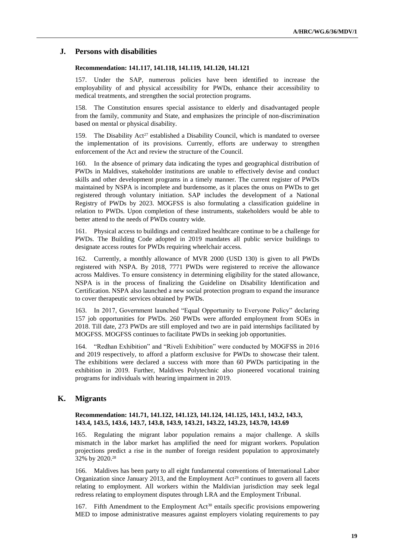#### **J. Persons with disabilities**

#### **Recommendation: 141.117, 141.118, 141.119, 141.120, 141.121**

157. Under the SAP, numerous policies have been identified to increase the employability of and physical accessibility for PWDs, enhance their accessibility to medical treatments, and strengthen the social protection programs.

158. The Constitution ensures special assistance to elderly and disadvantaged people from the family, community and State, and emphasizes the principle of non-discrimination based on mental or physical disability.

159. The Disability Act<sup>27</sup> established a Disability Council, which is mandated to oversee the implementation of its provisions. Currently, efforts are underway to strengthen enforcement of the Act and review the structure of the Council.

160. In the absence of primary data indicating the types and geographical distribution of PWDs in Maldives, stakeholder institutions are unable to effectively devise and conduct skills and other development programs in a timely manner. The current register of PWDs maintained by NSPA is incomplete and burdensome, as it places the onus on PWDs to get registered through voluntary initiation. SAP includes the development of a National Registry of PWDs by 2023. MOGFSS is also formulating a classification guideline in relation to PWDs. Upon completion of these instruments, stakeholders would be able to better attend to the needs of PWDs country wide.

161. Physical access to buildings and centralized healthcare continue to be a challenge for PWDs. The Building Code adopted in 2019 mandates all public service buildings to designate access routes for PWDs requiring wheelchair access.

162. Currently, a monthly allowance of MVR 2000 (USD 130) is given to all PWDs registered with NSPA. By 2018, 7771 PWDs were registered to receive the allowance across Maldives. To ensure consistency in determining eligibility for the stated allowance, NSPA is in the process of finalizing the Guideline on Disability Identification and Certification. NSPA also launched a new social protection program to expand the insurance to cover therapeutic services obtained by PWDs.

163. In 2017, Government launched "Equal Opportunity to Everyone Policy" declaring 157 job opportunities for PWDs. 260 PWDs were afforded employment from SOEs in 2018. Till date, 273 PWDs are still employed and two are in paid internships facilitated by MOGFSS. MOGFSS continues to facilitate PWDs in seeking job opportunities.

164. "Redhan Exhibition" and "Riveli Exhibition" were conducted by MOGFSS in 2016 and 2019 respectively, to afford a platform exclusive for PWDs to showcase their talent. The exhibitions were declared a success with more than 60 PWDs participating in the exhibition in 2019. Further, Maldives Polytechnic also pioneered vocational training programs for individuals with hearing impairment in 2019.

### **K. Migrants**

#### **Recommendation: 141.71, 141.122, 141.123, 141.124, 141.125, 143.1, 143.2, 143.3, 143.4, 143.5, 143.6, 143.7, 143.8, 143.9, 143.21, 143.22, 143.23, 143.70, 143.69**

165. Regulating the migrant labor population remains a major challenge. A skills mismatch in the labor market has amplified the need for migrant workers. Population projections predict a rise in the number of foreign resident population to approximately 32% by 2020.<sup>28</sup>

166. Maldives has been party to all eight fundamental conventions of International Labor Organization since January 2013, and the Employment Act<sup>29</sup> continues to govern all facets relating to employment. All workers within the Maldivian jurisdiction may seek legal redress relating to employment disputes through LRA and the Employment Tribunal.

167. Fifth Amendment to the Employment Act<sup>30</sup> entails specific provisions empowering MED to impose administrative measures against employers violating requirements to pay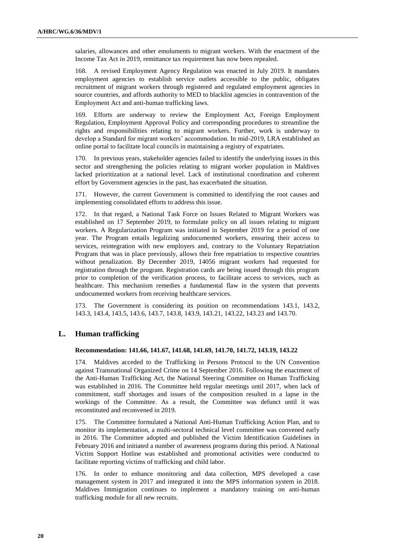salaries, allowances and other emoluments to migrant workers. With the enactment of the Income Tax Act in 2019, remittance tax requirement has now been repealed.

168. A revised Employment Agency Regulation was enacted in July 2019. It mandates employment agencies to establish service outlets accessible to the public, obligates recruitment of migrant workers through registered and regulated employment agencies in source countries, and affords authority to MED to blacklist agencies in contravention of the Employment Act and anti-human trafficking laws.

169. Efforts are underway to review the Employment Act, Foreign Employment Regulation, Employment Approval Policy and corresponding procedures to streamline the rights and responsibilities relating to migrant workers. Further, work is underway to develop a Standard for migrant workers' accommodation. In mid-2019, LRA established an online portal to facilitate local councils in maintaining a registry of expatriates.

170. In previous years, stakeholder agencies failed to identify the underlying issues in this sector and strengthening the policies relating to migrant worker population in Maldives lacked prioritization at a national level. Lack of institutional coordination and coherent effort by Government agencies in the past, has exacerbated the situation.

171. However, the current Government is committed to identifying the root causes and implementing consolidated efforts to address this issue.

172. In that regard, a National Task Force on Issues Related to Migrant Workers was established on 17 September 2019, to formulate policy on all issues relating to migrant workers. A Regularization Program was initiated in September 2019 for a period of one year. The Program entails legalizing undocumented workers, ensuring their access to services, reintegration with new employers and, contrary to the Voluntary Repatriation Program that was in place previously, allows their free repatriation to respective countries without penalization. By December 2019, 14056 migrant workers had requested for registration through the program. Registration cards are being issued through this program prior to completion of the verification process, to facilitate access to services, such as healthcare. This mechanism remedies a fundamental flaw in the system that prevents undocumented workers from receiving healthcare services.

173. The Government is considering its position on recommendations 143.1, 143.2, 143.3, 143.4, 143.5, 143.6, 143.7, 143.8, 143.9, 143.21, 143.22, 143.23 and 143.70.

### **L. Human trafficking**

#### **Recommendation: 141.66, 141.67, 141.68, 141.69, 141.70, 141.72, 143.19, 143.22**

174. Maldives acceded to the Trafficking in Persons Protocol to the UN Convention against Transnational Organized Crime on 14 September 2016. Following the enactment of the Anti-Human Trafficking Act, the National Steering Committee on Human Trafficking was established in 2016. The Committee held regular meetings until 2017, when lack of commitment, staff shortages and issues of the composition resulted in a lapse in the workings of the Committee. As a result, the Committee was defunct until it was reconstituted and reconvened in 2019.

175. The Committee formulated a National Anti-Human Trafficking Action Plan, and to monitor its implementation, a multi-sectoral technical level committee was convened early in 2016. The Committee adopted and published the Victim Identification Guidelines in February 2016 and initiated a number of awareness programs during this period. A National Victim Support Hotline was established and promotional activities were conducted to facilitate reporting victims of trafficking and child labor.

176. In order to enhance monitoring and data collection, MPS developed a case management system in 2017 and integrated it into the MPS information system in 2018. Maldives Immigration continues to implement a mandatory training on anti-human trafficking module for all new recruits.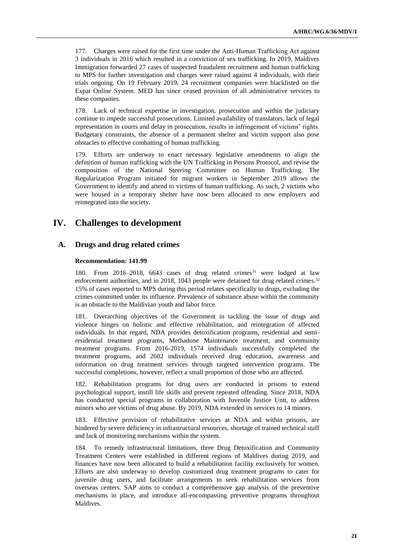177. Charges were raised for the first time under the Anti-Human Trafficking Act against 3 individuals in 2016 which resulted in a conviction of sex trafficking. In 2019, Maldives Immigration forwarded 27 cases of suspected fraudulent recruitment and human trafficking to MPS for further investigation and charges were raised against 4 individuals, with their trials ongoing. On 19 February 2019, 24 recruitment companies were blacklisted on the Expat Online System. MED has since ceased provision of all administrative services to these companies.

178. Lack of technical expertise in investigation, prosecution and within the judiciary continue to impede successful prosecutions. Limited availability of translators, lack of legal representation in courts and delay in prosecution, results in infringement of victims' rights. Budgetary constraints, the absence of a permanent shelter and victim support also pose obstacles to effective combatting of human trafficking.

179. Efforts are underway to enact necessary legislative amendments to align the definition of human trafficking with the UN Trafficking in Persons Protocol, and revise the composition of the National Steering Committee on Human Trafficking. The Regularization Program initiated for migrant workers in September 2019 allows the Government to identify and attend to victims of human trafficking. As such, 2 victims who were housed in a temporary shelter have now been allocated to new employers and reintegrated into the society.

# **IV. Challenges to development**

# **A. Drugs and drug related crimes**

#### **Recommendation: 141.99**

180. From 2016–2018, 6643 cases of drug related crimes<sup>31</sup> were lodged at law enforcement authorities, and in 2018, 1043 people were detained for drug related crimes.<sup>32</sup> 15% of cases reported to MPS during this period relates specifically to drugs, excluding the crimes committed under its influence. Prevalence of substance abuse within the community is an obstacle to the Maldivian youth and labor force.

181. Overarching objectives of the Government in tackling the issue of drugs and violence hinges on holistic and effective rehabilitation, and reintegration of affected individuals. In that regard, NDA provides detoxification programs, residential and semiresidential treatment programs, Methadone Maintenance treatment, and community treatment programs. From 2016-2019, 1574 individuals successfully completed the treatment programs, and 2602 individuals received drug education, awareness and information on drug treatment services through targeted intervention programs. The successful completions, however, reflect a small proportion of those who are affected.

182. Rehabilitation programs for drug users are conducted in prisons to extend psychological support, instill life skills and prevent repeated offending. Since 2018, NDA has conducted special programs in collaboration with Juvenile Justice Unit, to address minors who are victims of drug abuse. By 2019, NDA extended its services to 14 minors.

183. Effective provision of rehabilitative services at NDA and within prisons, are hindered by severe deficiency in infrastructural resources, shortage of trained technical staff and lack of monitoring mechanisms within the system.

184. To remedy infrastructural limitations, three Drug Detoxification and Community Treatment Centers were established in different regions of Maldives during 2019, and finances have now been allocated to build a rehabilitation facility exclusively for women. Efforts are also underway to develop customized drug treatment programs to cater for juvenile drug users, and facilitate arrangements to seek rehabilitation services from overseas centers. SAP aims to conduct a comprehensive gap analysis of the preventive mechanisms in place, and introduce all-encompassing preventive programs throughout Maldives.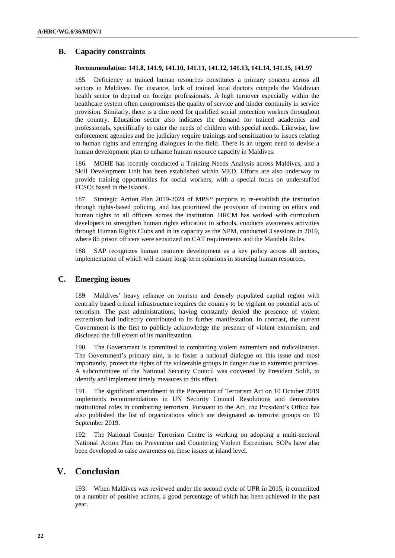# **B. Capacity constraints**

### **Recommendation: 141.8, 141.9, 141.10, 141.11, 141.12, 141.13, 141.14, 141.15, 141.97**

185. Deficiency in trained human resources constitutes a primary concern across all sectors in Maldives. For instance, lack of trained local doctors compels the Maldivian health sector to depend on foreign professionals. A high turnover especially within the healthcare system often compromises the quality of service and hinder continuity in service provision. Similarly, there is a dire need for qualified social protection workers throughout the country. Education sector also indicates the demand for trained academics and professionals, specifically to cater the needs of children with special needs. Likewise, law enforcement agencies and the judiciary require trainings and sensitization to issues relating to human rights and emerging dialogues in the field. There is an urgent need to devise a human development plan to enhance human resource capacity in Maldives.

186. MOHE has recently conducted a Training Needs Analysis across Maldives, and a Skill Development Unit has been established within MED. Efforts are also underway to provide training opportunities for social workers, with a special focus on understaffed FCSCs based in the islands.

187. Strategic Action Plan 2019-2024 of MPS<sup>33</sup> purports to re-establish the institution through rights-based policing, and has prioritized the provision of training on ethics and human rights to all officers across the institution. HRCM has worked with curriculum developers to strengthen human rights education in schools, conducts awareness activities through Human Rights Clubs and in its capacity as the NPM, conducted 3 sessions in 2019, where 85 prison officers were sensitized on CAT requirements and the Mandela Rules.

188. SAP recognizes human resource development as a key policy across all sectors, implementation of which will ensure long-term solutions in sourcing human resources.

# **C. Emerging issues**

189. Maldives' heavy reliance on tourism and densely populated capital region with centrally based critical infrastructure requires the country to be vigilant on potential acts of terrorism. The past administrations, having constantly denied the presence of violent extremism had indirectly contributed to its further manifestation. In contrast, the current Government is the first to publicly acknowledge the presence of violent extremism, and disclosed the full extent of its manifestation.

190. The Government is committed to combatting violent extremism and radicalization. The Government's primary aim, is to foster a national dialogue on this issue and most importantly, protect the rights of the vulnerable groups in danger due to extremist practices. A subcommittee of the National Security Council was convened by President Solih, to identify and implement timely measures to this effect.

191. The significant amendment to the Prevention of Terrorism Act on 10 October 2019 implements recommendations in UN Security Council Resolutions and demarcates institutional roles in combatting terrorism. Pursuant to the Act, the President's Office has also published the list of organizations which are designated as terrorist groups on 19 September 2019.

192. The National Counter Terrorism Centre is working on adopting a multi-sectoral National Action Plan on Prevention and Countering Violent Extremism. SOPs have also been developed to raise awareness on these issues at island level.

# **V. Conclusion**

193. When Maldives was reviewed under the second cycle of UPR in 2015, it committed to a number of positive actions, a good percentage of which has been achieved in the past year.